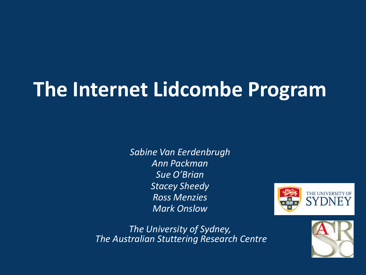# **The Internet Lidcombe Program**

*Sabine Van Eerdenbrugh Ann Packman Sue O'Brian Stacey Sheedy Ross Menzies Mark Onslow*



*The University of Sydney, The Australian Stuttering Research Centre*

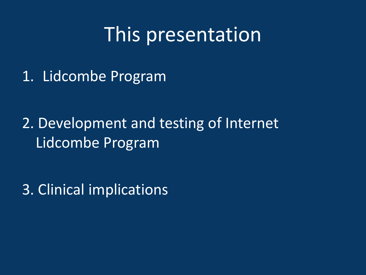#### This presentation

1. Lidcombe Program

2. Development and testing of Internet Lidcombe Program

3. Clinical implications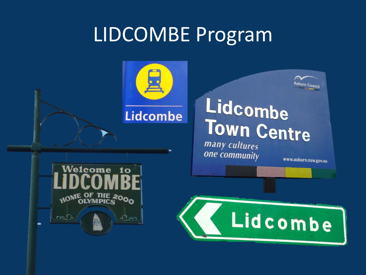### LIDCOMBE Program

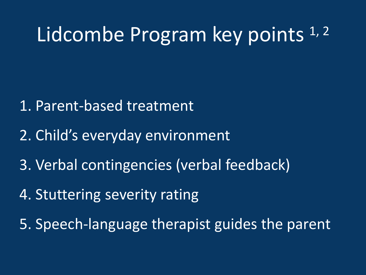### Lidcombe Program key points<sup>1,2</sup>

- 1. Parent-based treatment
- 2. Child's everyday environment
- 3. Verbal contingencies (verbal feedback)
- 4. Stuttering severity rating
- 5. Speech-language therapist guides the parent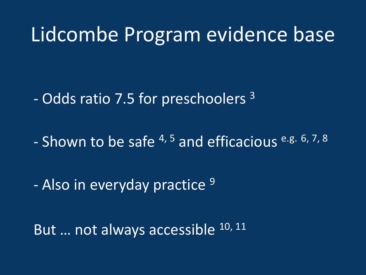#### Lidcombe Program evidence base

- Odds ratio 7.5 for preschoolers 3

- Shown to be safe <sup>4, 5</sup> and efficacious e.g. 6, 7, 8

- Also in everyday practice <sup>9</sup>

But ... not always accessible 10, 11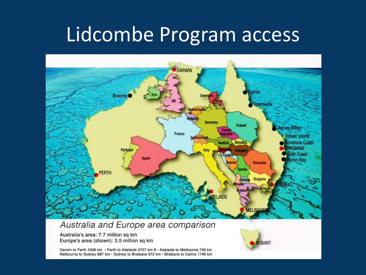#### Lidcombe Program access



#### Australia and Europe area comparison

Australia's area: 7.7 million sq km Europe's area (shown): 3.5 million sq km

Darwin to Perth 4396 km · Perth to Adelaide 2707 km 8 · Adelaide to Melbourne 726 km Melbourne to Sydney 887 km · Sydney to Brisbane 972 km · Brisbane to Cairns 1748 km

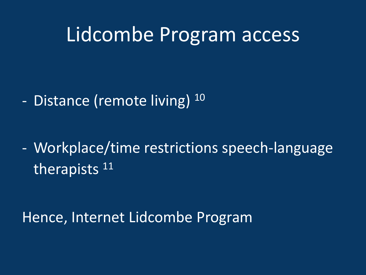#### Lidcombe Program access

- Distance (remote living) <sup>10</sup>

- Workplace/time restrictions speech-language therapists <sup>11</sup>

Hence, Internet Lidcombe Program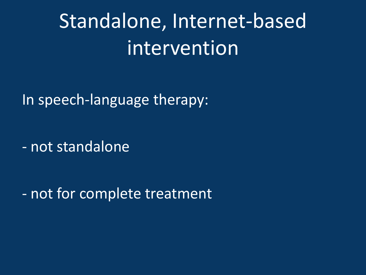Standalone, Internet-based intervention

In speech-language therapy:

- not standalone

- not for complete treatment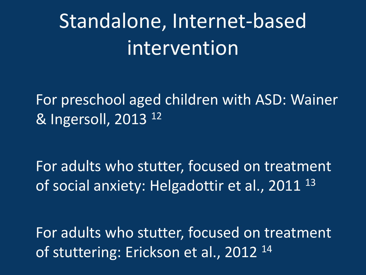# Standalone, Internet-based intervention

For preschool aged children with ASD: Wainer & Ingersoll, 2013 12

For adults who stutter, focused on treatment of social anxiety: Helgadottir et al., 2011<sup>13</sup>

For adults who stutter, focused on treatment of stuttering: Erickson et al., 2012<sup>14</sup>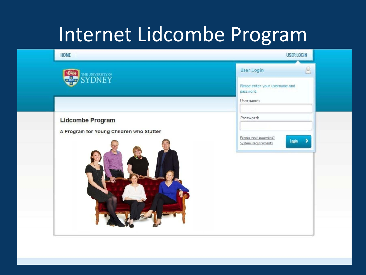## Internet Lidcombe Program

| THE UNIVERSITY OF SYDNEY                 | <b>User Login</b><br>2                                    |
|------------------------------------------|-----------------------------------------------------------|
| $\frac{1}{\sqrt{2}}$                     | Please enter your username and<br>password.               |
|                                          | Username:                                                 |
| <b>Lidcombe Program</b>                  | Password:                                                 |
| A Program for Young Children who Stutter | Forgot your password?<br>$Login$ ><br>System Requirements |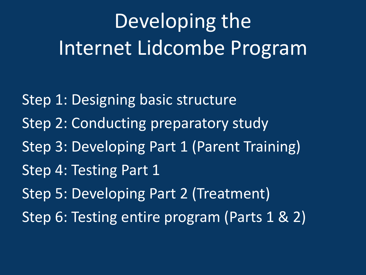# Developing the Internet Lidcombe Program

Step 1: Designing basic structure Step 2: Conducting preparatory study Step 3: Developing Part 1 (Parent Training) Step 4: Testing Part 1 Step 5: Developing Part 2 (Treatment) Step 6: Testing entire program (Parts 1 & 2)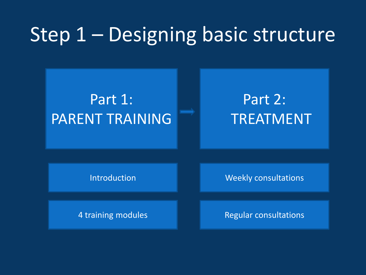### Step 1 – Designing basic structure



#### Part 2: TREATMENT

Introduction

Weekly consultations

4 training modules

Regular consultations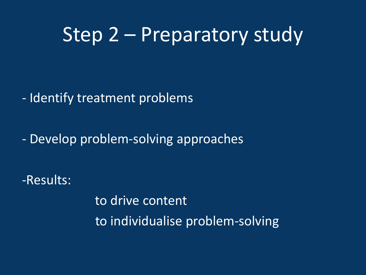#### Step 2 – Preparatory study

- Identify treatment problems

- Develop problem-solving approaches

-Results:

to drive content to individualise problem-solving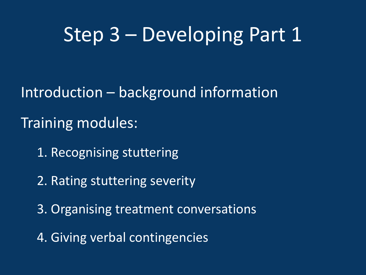#### Step 3 – Developing Part 1

Introduction – background information

Training modules:

1. Recognising stuttering

2. Rating stuttering severity

3. Organising treatment conversations

4. Giving verbal contingencies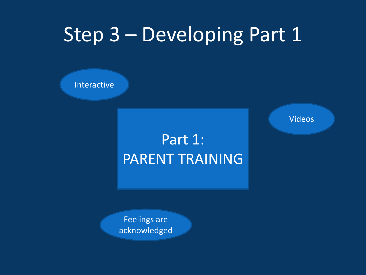### Step 3 – Developing Part 1

Interactive

#### Part 1: PARENT TRAINING

Feelings are acknowledged Videos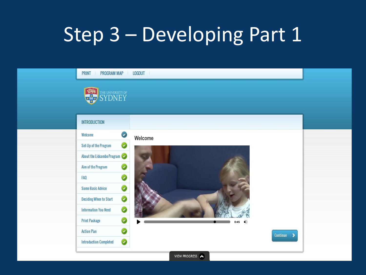# Step 3 – Developing Part 1

| <b>PRINT</b><br>PROGRAM MAP<br><b>SEE AND STREAM STREAM</b> | LOGOUT                    |  |
|-------------------------------------------------------------|---------------------------|--|
| <b>INTRODUCTION</b>                                         |                           |  |
| Ø<br>Welcome                                                | Welcome                   |  |
| Set-Up of the Program<br>Ø                                  |                           |  |
| About the Lidcombe Program                                  |                           |  |
| Aim of the Program<br>❤                                     |                           |  |
| Ø<br>FAQ                                                    |                           |  |
| Ø<br><b>Some Basic Advice</b>                               |                           |  |
| $\bullet$<br><b>Deciding When to Start</b>                  |                           |  |
| Ø<br><b>Information You Need</b>                            |                           |  |
| Ø<br><b>Print Package</b>                                   | 0:45 $\blacktriangleleft$ |  |
| Ø<br><b>Action Plan</b>                                     | Continue<br>$\rightarrow$ |  |
| Ø<br><b>Introduction Completed</b>                          |                           |  |
|                                                             | VIEW PROGRESS             |  |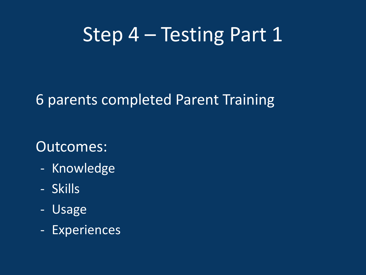#### Step 4 – Testing Part 1

#### 6 parents completed Parent Training

#### Outcomes:

- Knowledge
- Skills
- Usage
- Experiences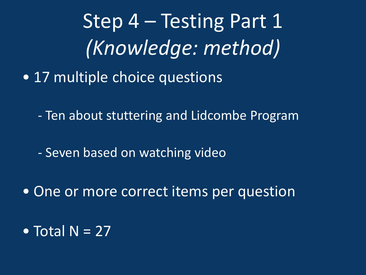Step 4 – Testing Part 1 *(Knowledge: method)*

- 17 multiple choice questions
	- Ten about stuttering and Lidcombe Program
	- Seven based on watching video
- One or more correct items per question
- Total  $N = 27$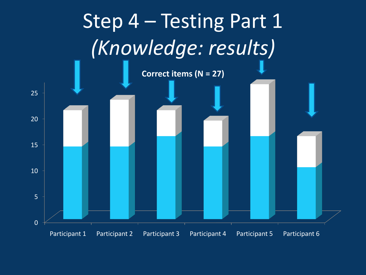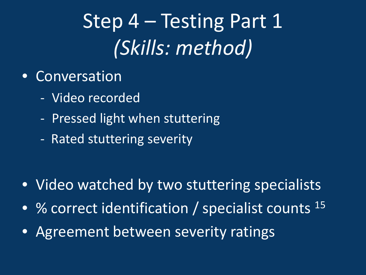# Step 4 – Testing Part 1 *(Skills: method)*

- Conversation
	- Video recorded
	- Pressed light when stuttering
	- Rated stuttering severity

- Video watched by two stuttering specialists
- % correct identification / specialist counts <sup>15</sup>
- Agreement between severity ratings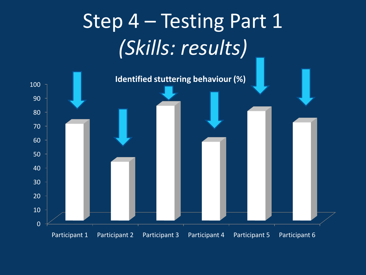# Step 4 – Testing Part 1 *(Skills: results)*

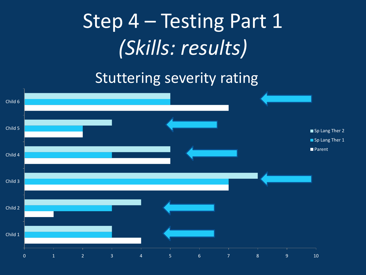# Step 4 – Testing Part 1 *(Skills: results)*

#### Stuttering severity rating

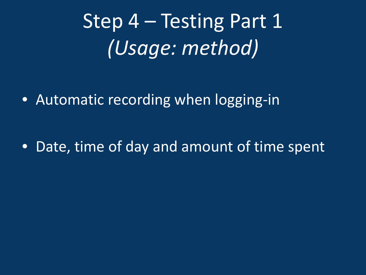Step 4 – Testing Part 1 *(Usage: method)*

• Automatic recording when logging-in

• Date, time of day and amount of time spent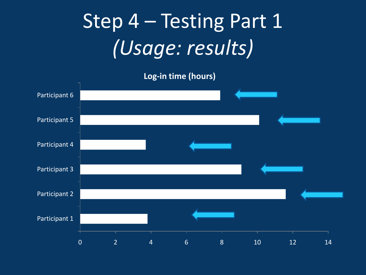# Step 4 – Testing Part 1 *(Usage: results)*

**Log-in time (hours)**

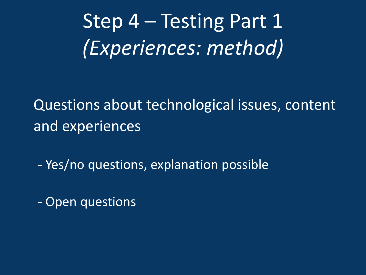Step 4 – Testing Part 1 *(Experiences: method)*

Questions about technological issues, content and experiences

- Yes/no questions, explanation possible

- Open questions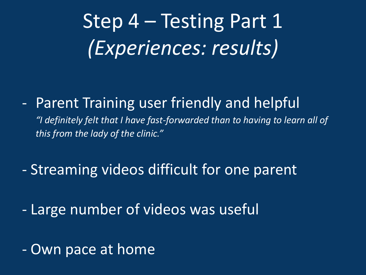Step 4 – Testing Part 1 *(Experiences: results)*

- Parent Training user friendly and helpful

*"I definitely felt that I have fast-forwarded than to having to learn all of this from the lady of the clinic."*

- Streaming videos difficult for one parent
- Large number of videos was useful
- Own pace at home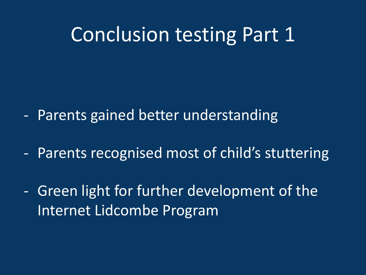#### Conclusion testing Part 1

- Parents gained better understanding
- Parents recognised most of child's stuttering
- Green light for further development of the Internet Lidcombe Program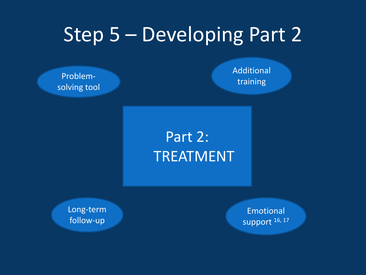## Step 5 – Developing Part 2

Problemsolving tool Additional training

#### Part 2: TREATMENT

Long-term follow-up

**Emotional** support 16, 17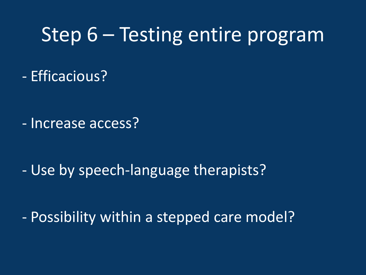#### Step 6 – Testing entire program

- Efficacious?

- Increase access?

- Use by speech-language therapists?

- Possibility within a stepped care model?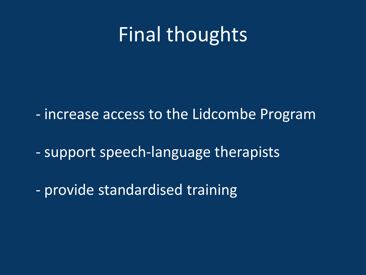### Final thoughts

- increase access to the Lidcombe Program

- support speech-language therapists

- provide standardised training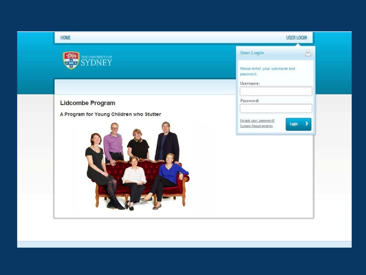| HOME                                     | <b>USER LOGIN</b>                                         |
|------------------------------------------|-----------------------------------------------------------|
| THE UNIVERSITY OF SYDNEY<br><b>Chap</b>  | User Login<br>9                                           |
|                                          | Please enter your username and<br>password.               |
|                                          | Username:                                                 |
| Lidcombe Program                         | Password:                                                 |
| A Program for Young Children who Stutter | Forgot your password?<br>$Login$ ><br>System Requirements |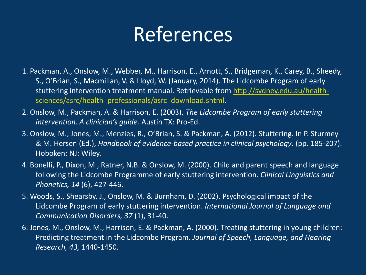### References

- 1. Packman, A., Onslow, M., Webber, M., Harrison, E., Arnott, S., Bridgeman, K., Carey, B., Sheedy, S., O'Brian, S., Macmillan, V. & Lloyd, W. (January, 2014). The Lidcombe Program of early stuttering intervention treatment manual. Retrievable from [http://sydney.edu.au/health](http://sydney.edu.au/health-sciences/asrc/health_professionals/asrc_download.shtml)[sciences/asrc/health\\_professionals/asrc\\_download.shtml](http://sydney.edu.au/health-sciences/asrc/health_professionals/asrc_download.shtml).
- 2. Onslow, M., Packman, A. & Harrison, E. (2003), *The Lidcombe Program of early stuttering intervention. A clinician's guide.* Austin TX: Pro-Ed.
- 3. Onslow, M., Jones, M., Menzies, R., O'Brian, S. & Packman, A. (2012). Stuttering. In P. Sturmey & M. Hersen (Ed.), *Handbook of evidence-based practice in clinical psychology*. (pp. 185-207). Hoboken: NJ: Wiley.
- 4. Bonelli, P., Dixon, M., Ratner, N.B. & Onslow, M. (2000). Child and parent speech and language following the Lidcombe Programme of early stuttering intervention. *Clinical Linguistics and Phonetics, 14* (6), 427-446.
- 5. Woods, S., Shearsby, J., Onslow, M. & Burnham, D. (2002). Psychological impact of the Lidcombe Program of early stuttering intervention. *International Journal of Language and Communication Disorders, 37* (1), 31-40.
- 6. Jones, M., Onslow, M., Harrison, E. & Packman, A. (2000). Treating stuttering in young children: Predicting treatment in the Lidcombe Program. *Journal of Speech, Language, and Hearing Research, 43,* 1440-1450.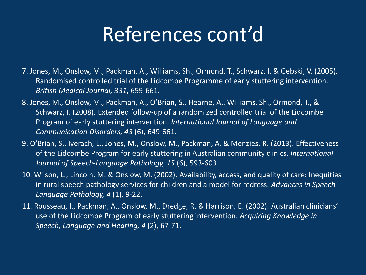## References cont'd

- 7. Jones, M., Onslow, M., Packman, A., Williams, Sh., Ormond, T., Schwarz, I. & Gebski, V. (2005). Randomised controlled trial of the Lidcombe Programme of early stuttering intervention. *British Medical Journal, 331*, 659-661.
- 8. Jones, M., Onslow, M., Packman, A., O'Brian, S., Hearne, A., Williams, Sh., Ormond, T., & Schwarz, I. (2008). Extended follow-up of a randomized controlled trial of the Lidcombe Program of early stuttering intervention. *International Journal of Language and Communication Disorders, 43* (6), 649-661.
- 9. O'Brian, S., Iverach, L., Jones, M., Onslow, M., Packman, A. & Menzies, R. (2013). Effectiveness of the Lidcombe Program for early stuttering in Australian community clinics. *International Journal of Speech-Language Pathology, 15* (6), 593-603.
- 10. Wilson, L., Lincoln, M. & Onslow, M. (2002). Availability, access, and quality of care: Inequities in rural speech pathology services for children and a model for redress. *Advances in Speech-Language Pathology, 4* (1), 9-22.
- 11. Rousseau, I., Packman, A., Onslow, M., Dredge, R. & Harrison, E. (2002). Australian clinicians' use of the Lidcombe Program of early stuttering intervention. *Acquiring Knowledge in Speech, Language and Hearing, 4* (2), 67-71.